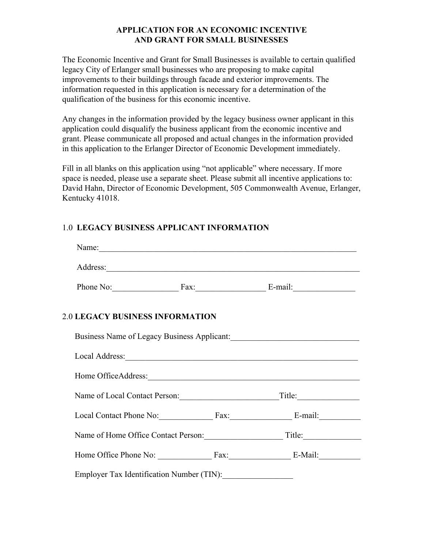## **APPLICATION FOR AN ECONOMIC INCENTIVE AND GRANT FOR SMALL BUSINESSES**

The Economic Incentive and Grant for Small Businesses is available to certain qualified legacy City of Erlanger small businesses who are proposing to make capital improvements to their buildings through facade and exterior improvements. The information requested in this application is necessary for a determination of the qualification of the business for this economic incentive.

Any changes in the information provided by the legacy business owner applicant in this application could disqualify the business applicant from the economic incentive and grant. Please communicate all proposed and actual changes in the information provided in this application to the Erlanger Director of Economic Development immediately.

Fill in all blanks on this application using "not applicable" where necessary. If more space is needed, please use a separate sheet. Please submit all incentive applications to: David Hahn, Director of Economic Development, 505 Commonwealth Avenue, Erlanger, Kentucky 41018.

# 1.0 **LEGACY BUSINESS APPLICANT INFORMATION**

|                                        | Phone No: Fax: Fax: E-mail:                       |
|----------------------------------------|---------------------------------------------------|
| <b>2.0 LEGACY BUSINESS INFORMATION</b> |                                                   |
|                                        | Business Name of Legacy Business Applicant: 1997  |
|                                        |                                                   |
|                                        |                                                   |
|                                        |                                                   |
|                                        | Local Contact Phone No: Fax: E-mail:              |
|                                        | Name of Home Office Contact Person: Title: Title: |
|                                        |                                                   |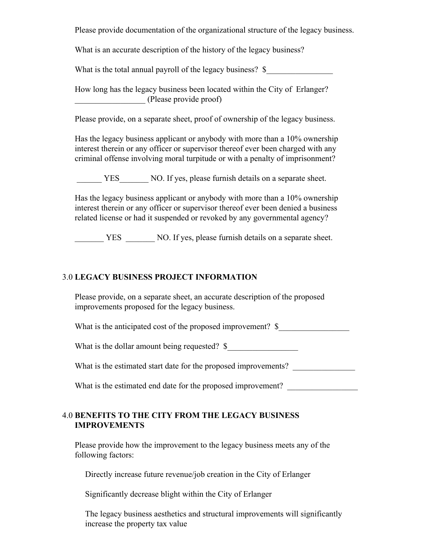Please provide documentation of the organizational structure of the legacy business.

What is an accurate description of the history of the legacy business?

What is the total annual payroll of the legacy business? \$

How long has the legacy business been located within the City of Erlanger? \_\_\_\_\_\_\_\_\_\_\_\_\_\_\_\_\_ (Please provide proof)

Please provide, on a separate sheet, proof of ownership of the legacy business.

Has the legacy business applicant or anybody with more than a 10% ownership interest therein or any officer or supervisor thereof ever been charged with any criminal offense involving moral turpitude or with a penalty of imprisonment?

YES NO. If yes, please furnish details on a separate sheet.

Has the legacy business applicant or anybody with more than a 10% ownership interest therein or any officer or supervisor thereof ever been denied a business related license or had it suspended or revoked by any governmental agency?

YES NO. If yes, please furnish details on a separate sheet.

#### 3.0 **LEGACY BUSINESS PROJECT INFORMATION**

Please provide, on a separate sheet, an accurate description of the proposed improvements proposed for the legacy business.

What is the anticipated cost of the proposed improvement?  $\$ 

What is the dollar amount being requested? \$

What is the estimated start date for the proposed improvements?

What is the estimated end date for the proposed improvement?

#### 4.0 **BENEFITS TO THE CITY FROM THE LEGACY BUSINESS IMPROVEMENTS**

Please provide how the improvement to the legacy business meets any of the following factors:

Directly increase future revenue/job creation in the City of Erlanger

Significantly decrease blight within the City of Erlanger

 The legacy business aesthetics and structural improvements will significantly increase the property tax value